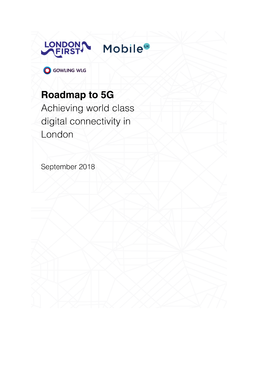

**Mobile**<sup>UK</sup>

**O** GOWLING WLG

# **Roadmap to 5G**

Achieving world class digital connectivity in London

September 2018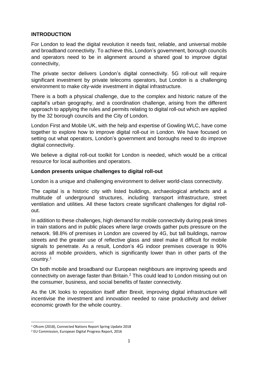## **INTRODUCTION**

For London to lead the digital revolution it needs fast, reliable, and universal mobile and broadband connectivity. To achieve this, London's government, borough councils and operators need to be in alignment around a shared goal to improve digital connectivity,

The private sector delivers London's digital connectivity. 5G roll-out will require significant investment by private telecoms operators, but London is a challenging environment to make city-wide investment in digital infrastructure.

There is a both a physical challenge, due to the complex and historic nature of the capital's urban geography, and a coordination challenge, arising from the different approach to applying the rules and permits relating to digital roll-out which are applied by the 32 borough councils and the City of London.

London First and Mobile UK, with the help and expertise of Gowling WLC, have come together to explore how to improve digital roll-out in London. We have focused on setting out what operators, London's government and boroughs need to do improve digital connectivity.

We believe a digital roll-out toolkit for London is needed, which would be a critical resource for local authorities and operators.

## **London presents unique challenges to digital roll-out**

London is a unique and challenging environment to deliver world-class connectivity.

The capital is a historic city with listed buildings, archaeological artefacts and a multitude of underground structures, including transport infrastructure, street ventilation and utilities. All these factors create significant challenges for digital rollout.

In addition to these challenges, high demand for mobile connectivity during peak times in train stations and in public places where large crowds gather puts pressure on the network. 98.8% of premises in London are covered by 4G, but tall buildings, narrow streets and the greater use of reflective glass and steel make it difficult for mobile signals to penetrate. As a result, London's 4G indoor premises coverage is 90% across all mobile providers, which is significantly lower than in other parts of the country.<sup>1</sup>

On both mobile and broadband our European neighbours are improving speeds and connectivity on average faster than Britain.<sup>2</sup> This could lead to London missing out on the consumer, business, and social benefits of faster connectivity.

As the UK looks to reposition itself after Brexit, improving digital infrastructure will incentivise the investment and innovation needed to raise productivity and deliver economic growth for the whole country.

<sup>1</sup> <sup>1</sup> Ofcom (2018), Connected Nations Report Spring Update 2018

<sup>2</sup> EU Commission, European Digital Progress Report, 2016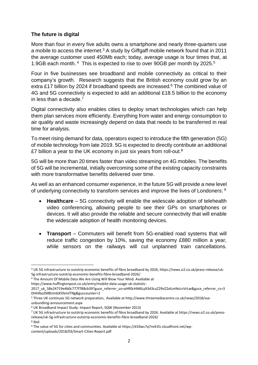## **The future is digital**

More than four in every five adults owns a smartphone and nearly three-quarters use a mobile to access the internet. $3$  A study by Giffgaff mobile network found that in 2011 the average customer used 450Mb each; today, average usage is four times that, at 1.9GB each month. <sup>4</sup> This is expected to rise to over 90GB per month by 2025. 5

Four in five businesses see broadband and mobile connectivity as critical to their company's growth. Research suggests that the British economy could grow by an extra £17 billion by 2024 if broadband speeds are increased.<sup>6</sup> The combined value of 4G and 5G connectivity is expected to add an additional £18.5 billion to the economy in less than a decade. 7

Digital connectivity also enables cities to deploy smart technologies which can help them plan services more efficiently. Everything from water and energy consumption to air quality and waste increasingly depend on data that needs to be transferred in real time for analysis.

To meet rising demand for data, operators expect to introduce the fifth generation (5G) of mobile technology from late 2019. 5G is expected to directly contribute an additional £7 billion a year to the UK economy in just six years from roll-out.<sup>8</sup>

5G will be more than 20 times faster than video streaming on 4G mobiles. The benefits of 5G will be incremental, initially overcoming some of the existing capacity constraints with more transformative benefits delivered over time.

As well as an enhanced consumer experience, in the future 5G will provide a new level of underlying connectivity to transform services and improve the lives of Londoners: 9

- **Healthcare** 5G connectivity will enable the widescale adoption of telehealth video conferencing, allowing people to see their GPs on smartphones or devices. It will also provide the reliable and secure connectivity that will enable the widescale adoption of health monitoring devices.
- **Transport** Commuters will benefit from 5G-enabled road systems that will reduce traffic congestion by 10%, saving the economy £880 million a year, while sensors on the railways will cut unplanned train cancellations.

<sup>1</sup> <sup>3</sup> UK 5G infrastructure to outstrip economic benefits of fibre broadband by 2026, https://news.o2.co.uk/press-release/uk-5g-infrastructure-outstrip-economic-benefits-fibre-broadband-2026/

<sup>4</sup> The Amount Of Mobile Data We Are Using Will Blow Your Mind. Available at

https://www.huffingtonpost.co.uk/entry/mobile-data-usage-uk-statistic-

<sup>2017</sup>\_uk\_58e24719e4b0c777f788cb39?guce\_referrer\_us=aHR0cHM6Ly93d3cuZ29vZ2xlLmNvLnVrLw&guce\_referrer\_cs=3 DHHlboZMBUmbX5femlTNg&guccounter=2

<sup>5</sup> Three UK continues 5G network preparation, Available at http://www.threemediacentre.co.uk/news/2018/sseunbundling-announcement.aspx

<sup>6</sup> UK Broadband Impact Study: Impact Report, SQW (November 2013)

<sup>7</sup> UK 5G infrastructure to outstrip economic benefits of fibre broadband by 2026. Available at https://news.o2.co.uk/pressrelease/uk-5g-infrastructure-outstrip-economic-benefits-fibre-broadband-2026/

<sup>8</sup> Ibid

<sup>9</sup> The value of 5G for cities and communities. Available at https://d10wc7q7re41fz.cloudfront.net/wpcontent/uploads/2018/03/Smart-Cities-Report.pdf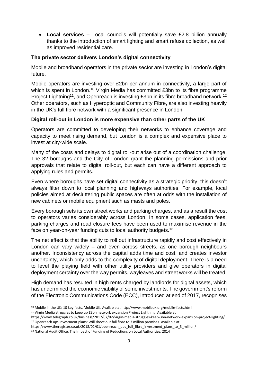• **Local services** – Local councils will potentially save £2.8 billion annually thanks to the introduction of smart lighting and smart refuse collection, as well as improved residential care.

## **The private sector delivers London's digital connectivity**

Mobile and broadband operators in the private sector are investing in London's digital future.

Mobile operators are investing over £2bn per annum in connectivity, a large part of which is spent in London.<sup>10</sup> Virgin Media has committed £3bn to its fibre programme Project Lightning<sup>11</sup>, and Openreach is investing £3bn in its fibre broadband network.<sup>12</sup> Other operators, such as Hyperoptic and Community Fibre, are also investing heavily in the UK's full fibre network with a significant presence in London.

# **Digital roll-out in London is more expensive than other parts of the UK**

Operators are committed to developing their networks to enhance coverage and capacity to meet rising demand, but London is a complex and expensive place to invest at city-wide scale.

Many of the costs and delays to digital roll-out arise out of a coordination challenge. The 32 boroughs and the City of London grant the planning permissions and prior approvals that relate to digital roll-out, but each can have a different approach to applying rules and permits.

Even where boroughs have set digital connectivity as a strategic priority, this doesn't always filter down to local planning and highways authorities. For example, local policies aimed at decluttering public spaces are often at odds with the installation of new cabinets or mobile equipment such as masts and poles.

Every borough sets its own street works and parking charges, and as a result the cost to operators varies considerably across London. In some cases, application fees, parking charges and road closure fees have been used to maximise revenue in the face on year-on-year funding cuts to local authority budgets.<sup>13</sup>

The net effect is that the ability to roll out infrastructure rapidly and cost effectively in London can vary widely – and even across streets, as one borough neighbours another. Inconsistency across the capital adds time and cost, and creates investor uncertainty, which only adds to the complexity of digital deployment. There is a need to level the playing field with other utility providers and give operators in digital deployment certainty over the way permits, wayleaves and street works will be treated.

High demand has resulted in high rents charged by landlords for digital assets, which has undermined the economic viability of some investments. The government's reform of the Electronic Communications Code (ECC), introduced at end of 2017, recognises

**<sup>.</sup>** <sup>10</sup> Mobile in the UK: 10 key facts, Mobile UK. Available at http://www.mobileuk.org/mobile-facts.html

<sup>11</sup> Virgin Media struggles to keep up £3bn network expansion Project Lightning. Available at

https://www.telegraph.co.uk/business/2017/07/02/virgin-media-struggles-keep-3bn-network-expansion-project-lighting/ <sup>12</sup> Openreach ups investment plans: Will shoot out full fibre to 3 million premises. Available at

https://www.theregister.co.uk/2018/02/01/openreach\_ups\_full\_fibre\_investment\_plans\_to\_3\_million/

<sup>&</sup>lt;sup>13</sup> National Audit Office, The Impact of Funding of Reductions on Local Authorities, 2014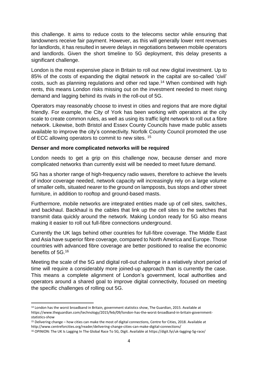this challenge. It aims to reduce costs to the telecoms sector while ensuring that landowners receive fair payment. However, as this will generally lower rent revenues for landlords, it has resulted in severe delays in negotiations between mobile operators and landlords. Given the short timeline to 5G deployment, this delay presents a significant challenge.

London is the most expensive place in Britain to roll out new digital investment. Up to 85% of the costs of expanding the digital network in the capital are so-called 'civil' costs, such as planning regulations and other red tape. <sup>14</sup> When combined with high rents, this means London risks missing out on the investment needed to meet rising demand and lagging behind its rivals in the roll-out of 5G.

Operators may reasonably choose to invest in cities and regions that are more digital friendly. For example, the City of York has been working with operators at the city scale to create common rules, as well as using its traffic light network to roll out a fibre network. Likewise, both Bristol and Essex County Councils have made public assets available to improve the city's connectivity. Norfolk County Council promoted the use of ECC allowing operators to commit to new sites. <sup>15</sup>

## **Denser and more complicated networks will be required**

London needs to get a grip on this challenge now, because denser and more complicated networks than currently exist will be needed to meet future demand.

5G has a shorter range of high-frequency radio waves, therefore to achieve the levels of indoor coverage needed, network capacity will increasingly rely on a large volume of smaller cells, situated nearer to the ground on lampposts, bus stops and other street furniture, in addition to rooftop and ground-based masts.

Furthermore, mobile networks are integrated entities made up of cell sites, switches, and backhaul. Backhaul is the cables that link up the cell sites to the switches that transmit data quickly around the network. Making London ready for 5G also means making it easier to roll out full-fibre connections underground.

Currently the UK lags behind other countries for full-fibre coverage. The Middle East and Asia have superior fibre coverage, compared to North America and Europe. Those countries with advanced fibre coverage are better positioned to realise the economic benefits of 5G.<sup>16</sup>

Meeting the scale of the 5G and digital roll-out challenge in a relatively short period of time will require a considerably more joined-up approach than is currently the case. This means a complete alignment of London's government, local authorities and operators around a shared goal to improve digital connectivity, focused on meeting the specific challenges of rolling out 5G.

**.** 

<sup>14</sup> London has the worst broadband in Britain, government statistics show, The Guardian, 2015. Available at https://www.theguardian.com/technology/2015/feb/09/london-has-the-worst-broadband-in-britain-governmentstatistics-show

<sup>15</sup> Delivering change – how cities can make the most of digital connections, Centre for Cities, 2018. Available at http://www.centreforcities.org/reader/delivering-change-cities-can-make-digital-connections/

<sup>16</sup> OPINION: The UK Is Lagging In The Global Race To 5G, Digit. Available at https://digit.fyi/uk-lagging-5g-race/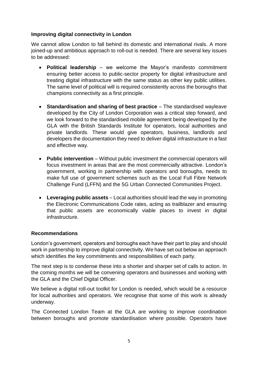## **Improving digital connectivity in London**

We cannot allow London to fall behind its domestic and international rivals. A more joined-up and ambitious approach to roll-out is needed. There are several key issues to be addressed:

- **Political leadership** we welcome the Mayor's manifesto commitment ensuring better access to public-sector property for digital infrastructure and treating digital infrastructure with the same status as other key public utilities. The same level of political will is required consistently across the boroughs that champions connectivity as a first principle.
- **Standardisation and sharing of best practice** The standardised wayleave developed by the City of London Corporation was a critical step forward, and we look forward to the standardised mobile agreement being developed by the GLA with the British Standards Institute for operators, local authorities and private landlords. These would give operators, business, landlords and developers the documentation they need to deliver digital infrastructure in a fast and effective way.
- **Public intervention** Without public investment the commercial operators will focus investment in areas that are the most commercially attractive. London's government, working in partnership with operators and boroughs, needs to make full use of government schemes such as the Local Full Fibre Network Challenge Fund (LFFN) and the 5G Urban Connected Communities Project.
- **Leveraging public assets** Local authorities should lead the way in promoting the Electronic Communications Code rates, acting as trailblazer and ensuring that public assets are economically viable places to invest in digital infrastructure.

#### **Recommendations**

London's government, operators and boroughs each have their part to play and should work in partnership to improve digital connectivity. We have set out below an approach which identifies the key commitments and responsibilities of each party.

The next step is to condense these into a shorter and sharper set of calls to action. In the coming months we will be convening operators and businesses and working with the GLA and the Chief Digital Officer.

We believe a digital roll-out toolkit for London is needed, which would be a resource for local authorities and operators. We recognise that some of this work is already underway.

The Connected London Team at the GLA are working to improve coordination between boroughs and promote standardisation where possible. Operators have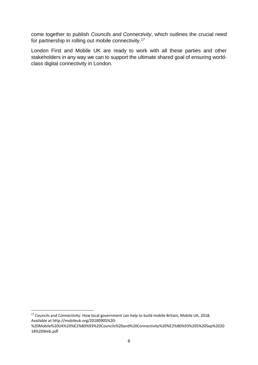come together to publish *Councils and Connectivity*, which outlines the crucial need for partnership in rolling out mobile connectivity.<sup>17</sup>

London First and Mobile UK are ready to work with all these parties and other stakeholders in any way we can to support the ultimate shared goal of ensuring worldclass digital connectivity in London.

 $\overline{a}$ 

<sup>&</sup>lt;sup>17</sup> Councils and Connectivity: How local government can help to build mobile Britain, Mobile UK, 2018. Available at http://mobileuk.org/20180905%20-

<sup>%20</sup>Mobile%20UK%20%E2%80%93%20Councils%20and%20Connectivity%20%E2%80%93%205%20Sep%2020 18%20Web.pdf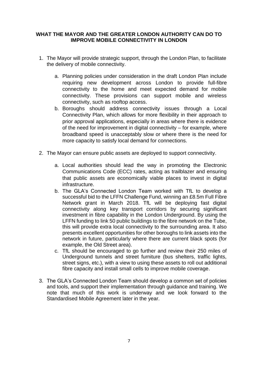## **WHAT THE MAYOR AND THE GREATER LONDON AUTHORITY CAN DO TO IMPROVE MOBILE CONNECTIVITY IN LONDON**

- 1. The Mayor will provide strategic support, through [the London Plan,](https://www.london.gov.uk/what-we-do/planning/london-plan) to facilitate the delivery of mobile connectivity.
	- a. Planning policies under consideration in the draft London Plan include requiring new development across London to provide full-fibre connectivity to the home and meet expected demand for mobile connectivity. These provisions can support mobile and wireless connectivity, such as rooftop access.
	- b. Boroughs should address connectivity issues through a Local Connectivity Plan, which allows for more flexibility in their approach to prior approval applications, especially in areas where there is evidence of the need for improvement in digital connectivity – for example, where broadband speed is unacceptably slow or where there is the need for more capacity to satisfy local demand for connections.
- 2. The Mayor can ensure public assets are deployed to support connectivity.
	- a. Local authorities should lead the way in promoting the Electronic Communications Code (ECC) rates, acting as trailblazer and ensuring that public assets are economically viable places to invest in digital infrastructure.
	- b. The GLA's Connected London Team worked with TfL to develop a successful bid to the LFFN Challenge Fund, winning an £8.5m Full Fibre Network grant in March 2018. TfL will be deploying fast digital connectivity along key transport corridors by securing significant investment in fibre capability in the London Underground. By using the LFFN funding to link 50 public buildings to the fibre network on the Tube, this will provide extra local connectivity to the surrounding area. It also presents excellent opportunities for other boroughs to link assets into the network in future, particularly where there are current black spots (for example, the Old Street area).
	- c. TfL should be encouraged to go further and review their 250 miles of Underground tunnels and street furniture (bus shelters, traffic lights, street signs, etc.), with a view to using these assets to roll out additional fibre capacity and install small cells to improve mobile coverage.
- 3. The GLA's Connected London Team should develop a common set of policies and tools, and support their implementation through guidance and training. We note that much of this work is underway and we look forward to the Standardised Mobile Agreement later in the year.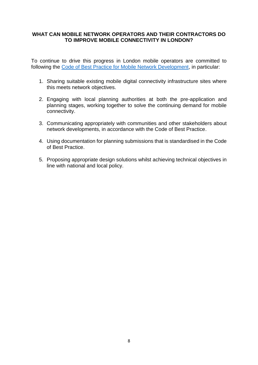## **WHAT CAN MOBILE NETWORK OPERATORS AND THEIR CONTRACTORS DO TO IMPROVE MOBILE CONNECTIVITY IN LONDON?**

To continue to drive this progress in London mobile operators are committed to following the [Code of Best Practice for Mobile Network Development,](http://www.mobileuk.org/codes-of-practice.html) in particular:

- 1. Sharing suitable existing mobile digital connectivity infrastructure sites where this meets network objectives.
- 2. Engaging with local planning authorities at both the pre-application and planning stages, working together to solve the continuing demand for mobile connectivity.
- 3. Communicating appropriately with communities and other stakeholders about network developments, in accordance with the Code of Best Practice.
- 4. Using documentation for planning submissions that is standardised in the Code of Best Practice.
- 5. Proposing appropriate design solutions whilst achieving technical objectives in line with national and local policy.